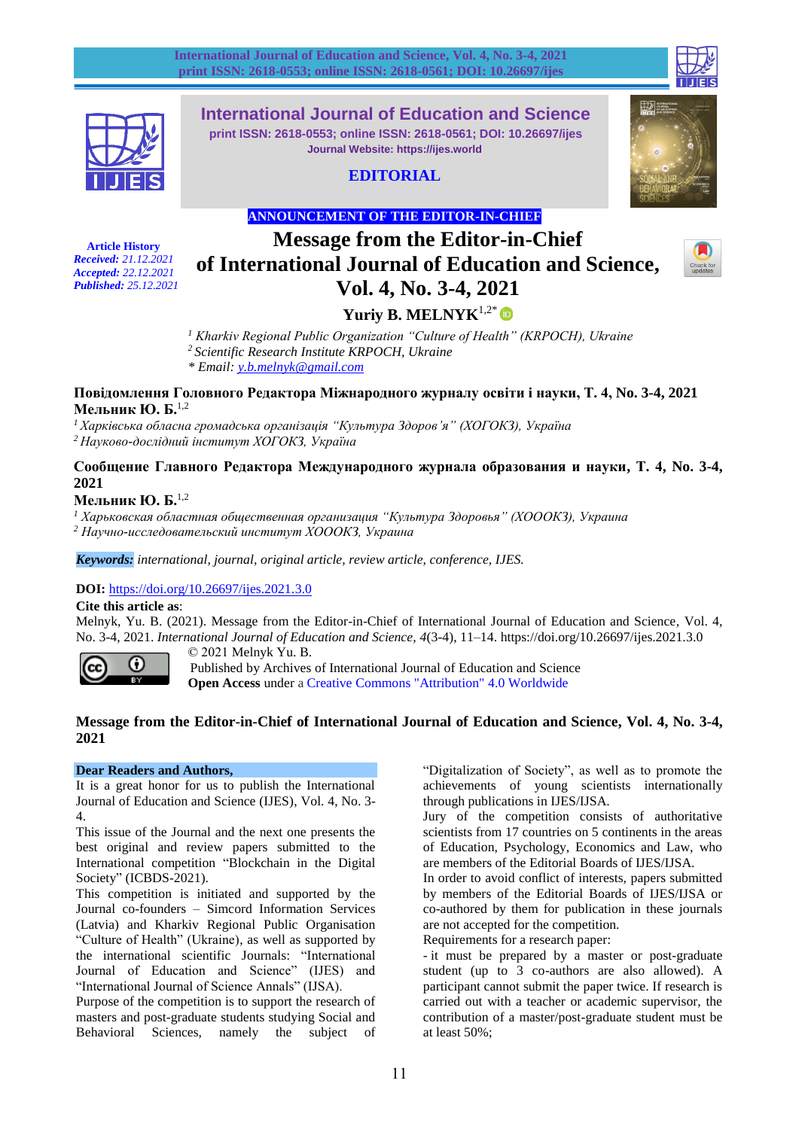



**International Journal of Education and Science print ISSN: 2618-0553; online ISSN: 2618-0561; DOI: 10.26697/ijes Journal Website: https://ijes.world**

# **EDITORIAL**



# **ANNOUNCEMENT OF THE EDITOR-IN-CHIEF**

**Article History** *Received: 21.12.2021 Accepted: 22.12.2021 Published: 25.12.2021*

# **Message from the Editor-in-Chief of International Journal of Education and Science, Vol. 4, No. 3-4, 2021**



# **Yuriy B. MELNYK**1,2\*

*<sup>1</sup> Kharkiv Regional Public Organization "Culture of Health" (KRPOCH), Ukraine <sup>2</sup> Scientific Research Institute KRPOCH, Ukraine \* Email: [y.b.melnyk@gmail.com](mailto:y.b.melnyk@gmail.com)*

#### **Повідомлення Головного Редактора Міжнародного журналу освіти і науки, Т. 4, No. 3-4, 2021 Мельник Ю. Б.**1,2

*<sup>1</sup> Харківська обласна громадська організація "Культура Здоров'я" (ХОГОКЗ), Україна <sup>2</sup> Науково-дослідний інститут ХОГОКЗ, Україна*

**Сообщение Главного Редактора Международного журнала образования и науки, Т. 4, No. 3-4, 2021**

## **Мельник Ю. Б.**1,2

*<sup>1</sup> Харьковская областная общественная организация "Культура Здоровья" (ХОООКЗ), Украина*

*<sup>2</sup> Научно-исследовательский институт ХОООКЗ, Украина*

*Keywords: international, journal, original article, review article, conference, IJES.*

## **DOI:** <https://doi.org/10.26697/ijes.2021.3.0>

**Cite this article as**:

Melnyk, Yu. B. (2021). Message from the Editor-in-Chief of International Journal of Education and Science, Vol. 4, No. 3-4, 2021. *International Journal of Education and Science, 4*(3-4), 11–14. <https://doi.org/10.26697/ijes.2021.3.0>



© 2021 Melnyk Yu. B. Published by Archives of International Journal of Education and Science **Open Access** under a [Creative Commons "Attribution" 4.0 Worldwide](https://creativecommons.org/licenses/by/4.0/)

## **Message from the Editor-in-Chief of International Journal of Education and Science, Vol. 4, No. 3-4, 2021**

#### **Dear Readers and Authors,**

It is a great honor for us to publish the International Journal of Education and Science (IJES), Vol. 4, No. 3- 4.

This issue of the Journal and the next one presents the best original and review papers submitted to the International competition "Blockchain in the Digital Society" (ICBDS-2021).

This competition is initiated and supported by the Journal co-founders – Simcord Information Services (Latvia) and Kharkiv Regional Public Organisation "Culture of Health" (Ukraine), as well as supported by the international scientific Journals: "International Journal of Education and Science" (IJES) and "International Journal of Science Annals" (IJSA).

Purpose of the competition is to support the research of masters and post-graduate students studying Social and Behavioral Sciences, namely the subject of "Digitalization of Society", as well as to promote the achievements of young scientists internationally through publications in IJES/IJSA.

Jury of the competition consists of authoritative scientists from 17 countries on 5 continents in the areas of Education, Psychology, Economics and Law, who are members of the Editorial Boards of IJES/IJSA.

In order to avoid conflict of interests, papers submitted by members of the Editorial Boards of IJES/IJSA or co-authored by them for publication in these journals are not accepted for the competition.

Requirements for a research paper:

- it must be prepared by a master or post-graduate student (up to 3 co-authors are also allowed). A participant cannot submit the paper twice. If research is carried out with a teacher or academic supervisor, the contribution of a master/post-graduate student must be at least 50%;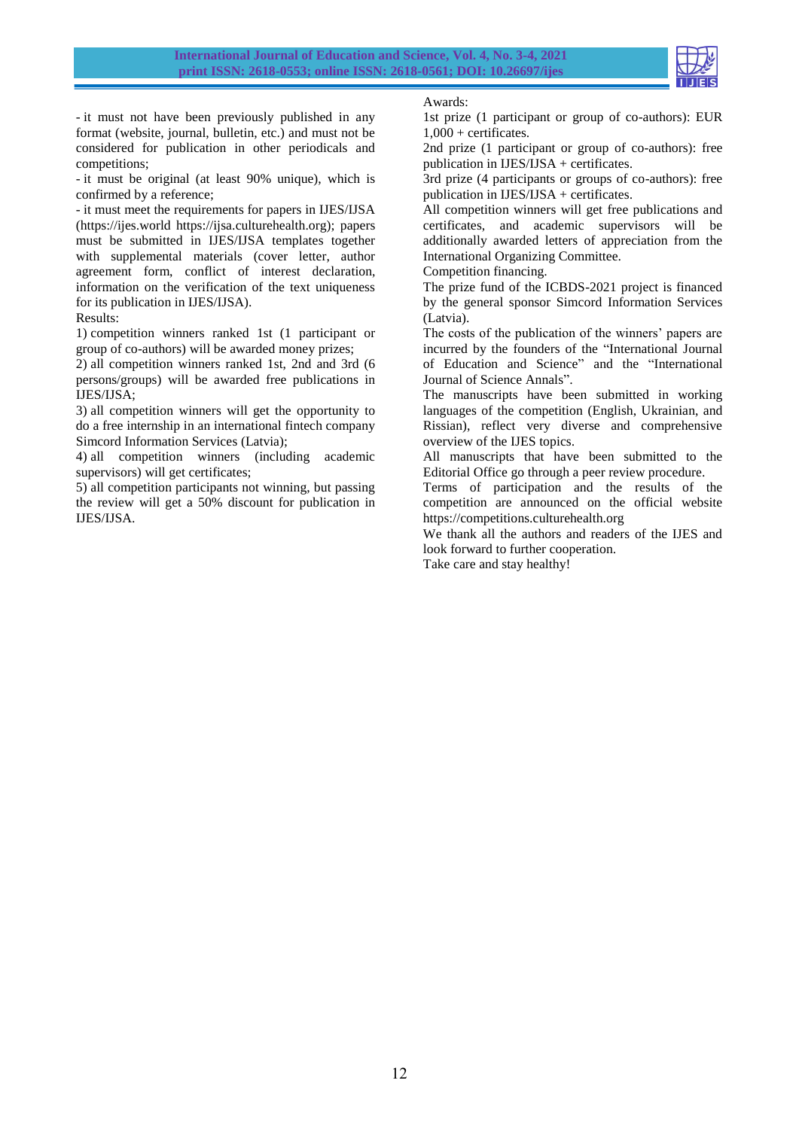

- it must not have been previously published in any format (website, journal, bulletin, etc.) and must not be considered for publication in other periodicals and competitions;

- it must be original (at least 90% unique), which is confirmed by a reference;

- it must meet the requirements for papers in IJES/IJSA (https://ijes.world https://ijsa.culturehealth.org); papers must be submitted in IJES/IJSA templates together with supplemental materials (cover letter, author agreement form, conflict of interest declaration, information on the verification of the text uniqueness for its publication in IJES/IJSA).

Results:

1) competition winners ranked 1st (1 participant or group of co-authors) will be awarded money prizes;

2) all competition winners ranked 1st, 2nd and 3rd (6 persons/groups) will be awarded free publications in IJES/IJSA;

3) all competition winners will get the opportunity to do a free internship in an international fintech company Simcord Information Services (Latvia);

4) all competition winners (including academic supervisors) will get certificates;

5) all competition participants not winning, but passing the review will get a 50% discount for publication in IJES/IJSA.

Awards:

1st prize (1 participant or group of co-authors): EUR 1,000 + certificates.

2nd prize (1 participant or group of co-authors): free publication in IJES/IJSA + certificates.

3rd prize (4 participants or groups of co-authors): free publication in IJES/IJSA + certificates.

All competition winners will get free publications and certificates, and academic supervisors will be additionally awarded letters of appreciation from the International Organizing Committee.

Competition financing.

The prize fund of the ICBDS-2021 project is financed by the general sponsor Simcord Information Services (Latvia).

The costs of the publication of the winners' papers are incurred by the founders of the "International Journal of Education and Science" and the "International Journal of Science Annals".

The manuscripts have been submitted in working languages of the competition (English, Ukrainian, and Rissian), reflect very diverse and comprehensive overview of the IJES topics.

All manuscripts that have been submitted to the Editorial Office go through a peer review procedure.

Terms of participation and the results of the competition are announced on the official website [https://competitions.culturehealth.org](https://competitions.culturehealth.org/)

We thank all the authors and readers of the IJES and look forward to further cooperation.

Take care and stay healthy!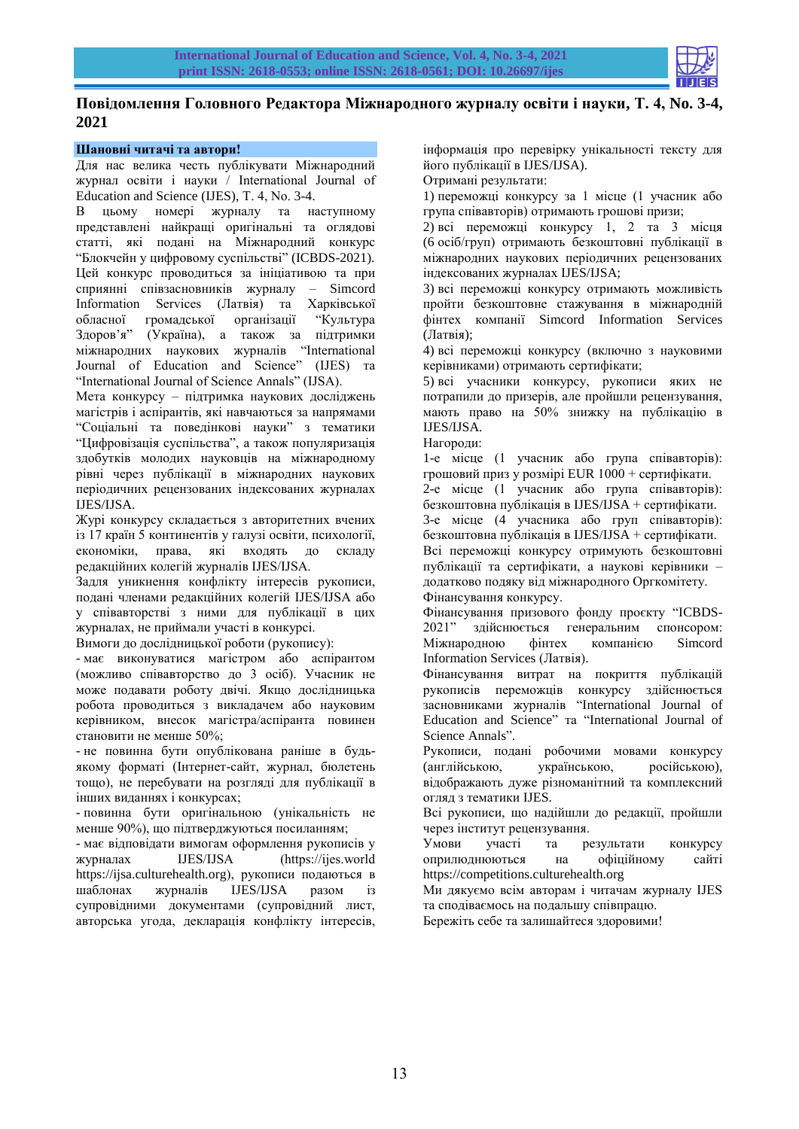

# **Повідомлення Головного Редактора Міжнародного журналу освіти і науки, Т. 4, No. 3-4, 2021**

### **Шановні читачі та автори!**

Для нас велика честь публікувати Міжнародний журнал освіти і науки / International Journal of Education and Science (IJES), Т. 4, No. 3-4.

В цьому номері журналу та наступному представлені найкращі оригінальні та оглядові статті, які подані на Міжнародний конкурс "Блокчейн у цифровому суспільстві" (ICBDS-2021). Цей конкурс проводиться за ініціативою та при сприянні співзасновників журналу – Simcord Information Services (Латвія) та Харківської обласної громадської організації "Культура Здоров'я" (Україна), а також за підтримки міжнародних наукових журналів "International Journal of Education and Science" (IJES) та "International Journal of Science Annals" (IJSA).

Мета конкурсу – підтримка наукових досліджень магістрів і аспірантів, які навчаються за напрямами "Соціальні та поведінкові науки" з тематики "Цифровізація суспільства", а також популяризація здобутків молодих науковців на міжнародному рівні через публікації в міжнародних наукових періодичних рецензованих індексованих журналах IJES/IJSA.

Журі конкурсу складається з авторитетних вчених із 17 країн 5 континентів у галузі освіти, психології, економіки, права, які входять до складу редакційних колегій журналів IJES/IJSA.

Задля уникнення конфлікту інтересів рукописи, подані членами редакційних колегій IJES/IJSA або у співавторстві з ними для публікації в цих журналах, не приймали участі в конкурсі.

Вимоги до дослідницької роботи (рукопису):

- має виконуватися магістром або аспірантом (можливо співавторство до 3 осіб). Учасник не може подавати роботу двічі. Якщо дослідницька робота проводиться з викладачем або науковим керівником, внесок магістра/аспіранта повинен становити не менше 50%;

- не повинна бути опублікована раніше в будьякому форматі (Інтернет-сайт, журнал, бюлетень тощо), не перебувати на розгляді для публікації в інших виданнях і конкурсах;

- повинна бути оригінальною (унікальність не менше 90%), що підтверджуються посиланням;

- має відповідати вимогам оформлення рукописів у журналах IJES/IJSA (https://ijes.world https://ijsa.culturehealth.org), рукописи подаються в шаблонах журналів IJES/IJSA разом із супровідними документами (супровідний лист, авторська угода, декларація конфлікту інтересів,

інформація про перевірку унікальності тексту для його публікації в IJES/IJSA).

Отримані результати:

1) переможці конкурсу за 1 місце (1 учасник або група співавторів) отримають грошові призи;

2) всі переможці конкурсу 1, 2 та 3 місця (6 осіб/груп) отримають безкоштовні публікації в міжнародних наукових періодичних рецензованих індексованих журналах IJES/IJSA;

3) всі переможці конкурсу отримають можливість пройти безкоштовне стажування в міжнародній фінтех компанії Simcord Information Services (Латвія);

4) всі переможці конкурсу (включно з науковими керівниками) отримають сертифікати;

5) всі учасники конкурсу, рукописи яких не потрапили до призерів, але пройшли рецензування, мають право на 50% знижку на публікацію в IJES/IJSA.

Нагороди:

1-е місце (1 учасник або група співавторів): грошовий приз у розмірі EUR 1000 + сертифікати.

2-е місце (1 учасник або група співавторів): безкоштовна публікація в IJES/IJSA + сертифікати.

3-е місце (4 учасника або груп співавторів): безкоштовна публікація в IJES/IJSA + сертифікати.

Всі переможці конкурсу отримують безкоштовні публікації та сертифікати, а наукові керівники – додатково подяку від міжнародного Оргкомітету. Фінансування конкурсу.

Фінансування призового фонду проєкту "ICBDS-2021" здійснюється генеральним спонсором: Міжнародною фінтех компанією Simcord Information Services (Латвія).

Фінансування витрат на покриття публікацій рукописів переможців конкурсу здійснюється засновниками журналів "International Journal of Education and Science" та "International Journal of Science Annals".

Рукописи, подані робочими мовами конкурсу (англійською, українською, російською), відображають дуже різноманітний та комплексний огляд з тематики IJES.

Всі рукописи, що надійшли до редакції, пройшли через інститут рецензування.

Умови участі та результати конкурсу оприлюднюються на офіційному сайті https://competitions.culturehealth.org

Ми дякуємо всім авторам і читачам журналу IJES та сподіваємось на подальшу співпрацю.

Бережіть себе та залишайтеся здоровими!